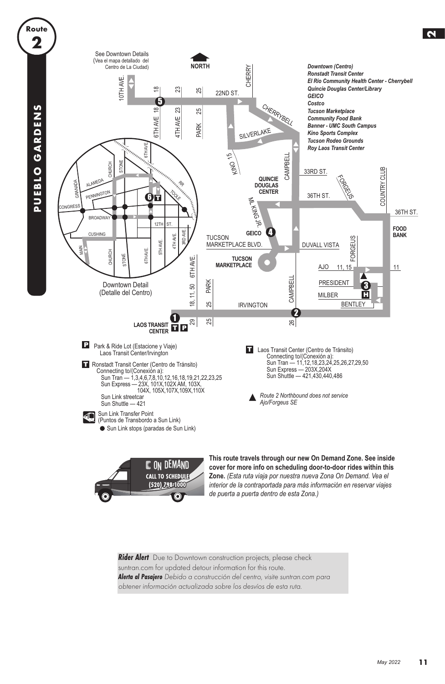

**Rider Alert** Due to Downtown construction projects, please check suntran.com for updated detour information for this route. **Alerta al Pasajero** Debido a construcción del centro, visite suntran.com para obtener información actualizada sobre los desvíos de esta ruta.